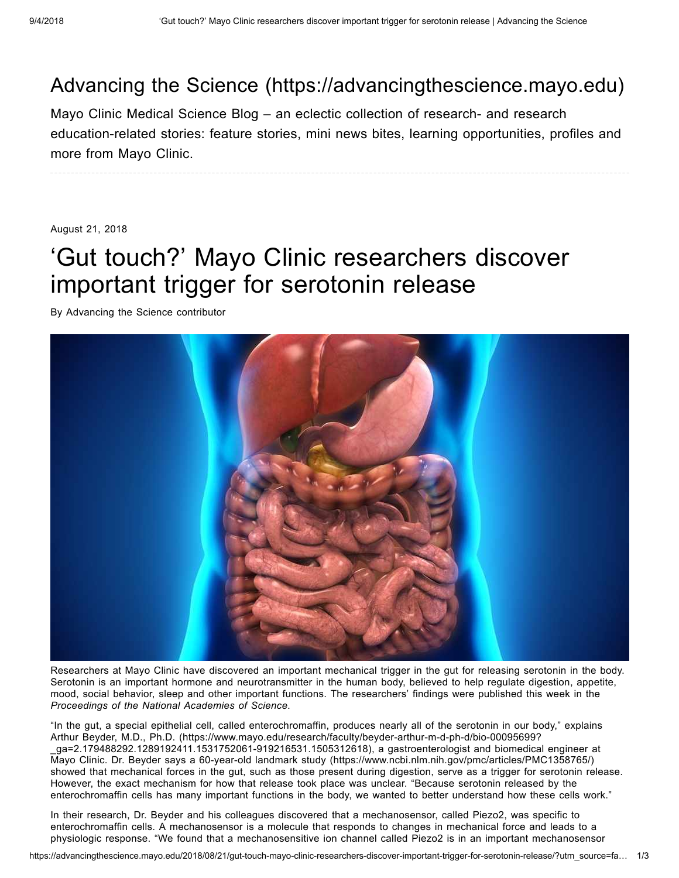## Advancing the Science [\(https://advancingthescience.mayo.edu\)](https://advancingthescience.mayo.edu/)

Mayo Clinic Medical Science Blog – an eclectic collection of research- and research education-related stories: feature stories, mini news bites, learning opportunities, profiles and more from Mayo Clinic.

August 21, 2018

## 'Gut touch?' Mayo Clinic researchers discover important trigger for serotonin release

By Advancing the Science contributor



Researchers at Mayo Clinic have discovered an important mechanical trigger in the gut for releasing serotonin in the body. Serotonin is an important hormone and neurotransmitter in the human body, believed to help regulate digestion, appetite, mood, social behavior, sleep and other important functions. The researchers' findings were published this week in the *[Proceedings](http://www.pnas.org/content/early/2018/07/17/1804938115) of the National Academies of Science*.

"In the gut, a special epithelial cell, called enterochromaffin, produces nearly all of the serotonin in our body," explains Arthur Beyder, M.D., Ph.D. [\(https://www.mayo.edu/research/faculty/beyder-arthur-m-d-ph-d/bio-00095699?](https://www.mayo.edu/research/faculty/beyder-arthur-m-d-ph-d/bio-00095699?_ga=2.179488292.1289192411.1531752061-919216531.1505312618) \_ga=2.179488292.1289192411.1531752061-919216531.1505312618), a gastroenterologist and biomedical engineer at Mayo Clinic. Dr. Beyder says a 60-year-old landmark study [\(https://www.ncbi.nlm.nih.gov/pmc/articles/PMC1358765/\)](https://www.ncbi.nlm.nih.gov/pmc/articles/PMC1358765/) showed that mechanical forces in the gut, such as those present during digestion, serve as a trigger for serotonin release. However, the exact mechanism for how that release took place was unclear. "Because serotonin released by the enterochromaffin cells has many important functions in the body, we wanted to better understand how these cells work."

In their research, Dr. Beyder and his colleagues discovered that a mechanosensor, called Piezo2, was specific to enterochromaffin cells. A mechanosensor is a molecule that responds to changes in mechanical force and leads to a physiologic response. "We found that a mechanosensitive ion channel called Piezo2 is in an important mechanosensor

https://advancingthescience.mayo.edu/2018/08/21/gut-touch-mayo-clinic-researchers-discover-important-trigger-for-serotonin-release/?utm\_source=fa… 1/3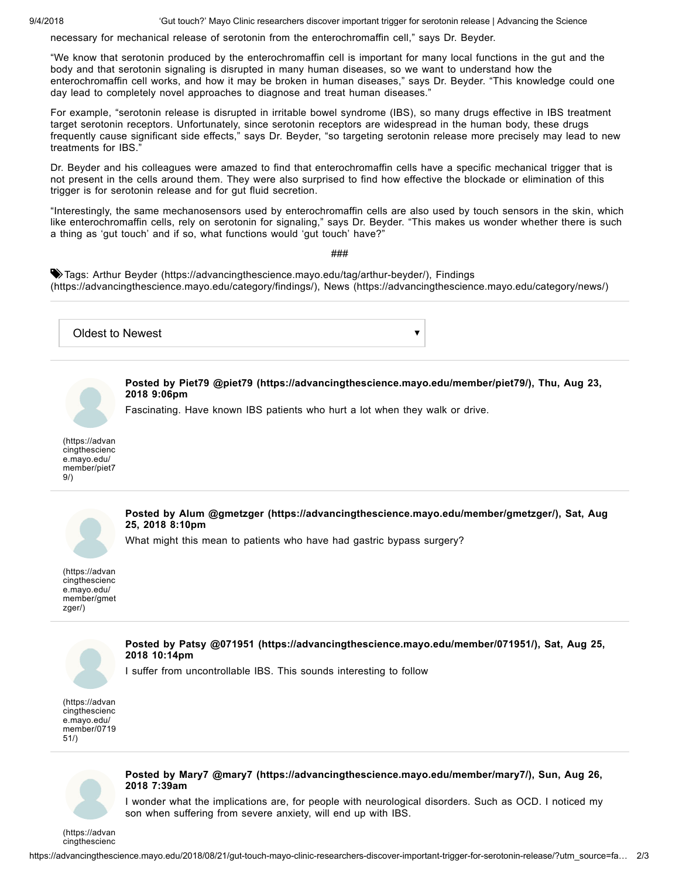9/4/2018 'Gut touch?' Mayo Clinic researchers discover important trigger for serotonin release | Advancing the Science

necessary for mechanical release of serotonin from the enterochromaffin cell," says Dr. Beyder.

"We know that serotonin produced by the enterochromaffin cell is important for many local functions in the gut and the body and that serotonin signaling is disrupted in many human diseases, so we want to understand how the enterochromaffin cell works, and how it may be broken in human diseases," says Dr. Beyder. "This knowledge could one day lead to completely novel approaches to diagnose and treat human diseases."

For example, "serotonin release is disrupted in irritable bowel syndrome (IBS), so many drugs effective in IBS treatment target serotonin receptors. Unfortunately, since serotonin receptors are widespread in the human body, these drugs frequently cause significant side effects," says Dr. Beyder, "so targeting serotonin release more precisely may lead to new treatments for IBS."

Dr. Beyder and his colleagues were amazed to find that enterochromaffin cells have a specific mechanical trigger that is not present in the cells around them. They were also surprised to find how effective the blockade or elimination of this trigger is for serotonin release and for gut fluid secretion.

"Interestingly, the same mechanosensors used by enterochromaffin cells are also used by touch sensors in the skin, which like enterochromaffin cells, rely on serotonin for signaling," says Dr. Beyder. "This makes us wonder whether there is such a thing as 'gut touch' and if so, what functions would 'gut touch' have?"

###

Tags: Arthur Beyder [\(https://advancingthescience.mayo.edu/tag/arthur-beyder/\)](https://advancingthescience.mayo.edu/tag/arthur-beyder/)[,](https://advancingthescience.mayo.edu/category/findings/) Findings (https://advancingthescience.mayo.edu/category/findings/), News [\(https://advancingthescience.mayo.edu/category/news/\)](https://advancingthescience.mayo.edu/category/news/)



[member/gmet](https://advancingthescience.mayo.edu/member/gmetzger/) zger/)



**Posted by Patsy @071951 [\(https://advancingthescience.mayo.edu/member/071951/\)](https://advancingthescience.mayo.edu/member/071951/), Sat, Aug 25, 2018 10:14pm**

I suffer from uncontrollable IBS. This sounds interesting to follow

(https://advan cingthescienc e.mayo.edu/ [member/0719](https://advancingthescience.mayo.edu/member/071951/) 51/)



**Posted by Mary7 @mary7 [\(https://advancingthescience.mayo.edu/member/mary7/\),](https://advancingthescience.mayo.edu/member/mary7/) Sun, Aug 26, 2018 7:39am**

I wonder what the implications are, for people with neurological disorders. Such as OCD. I noticed my son when suffering from severe anxiety, will end up with IBS.

[\(https://advan](https://advancingthescience.mayo.edu/member/mary7/) cingthescienc